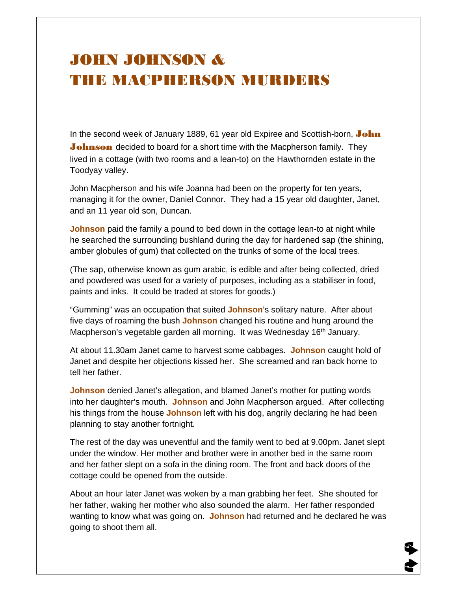## JOHN JOHNSON & THE MACPHERSON MURDERS

In the second week of January 1889, 61 year old Expiree and Scottish-born, John **Johnson** decided to board for a short time with the Macpherson family. They lived in a cottage (with two rooms and a lean-to) on the Hawthornden estate in the Toodyay valley.

John Macpherson and his wife Joanna had been on the property for ten years, managing it for the owner, Daniel Connor. They had a 15 year old daughter, Janet, and an 11 year old son, Duncan.

**Johnson** paid the family a pound to bed down in the cottage lean-to at night while he searched the surrounding bushland during the day for hardened sap (the shining, amber globules of gum) that collected on the trunks of some of the local trees.

(The sap, otherwise known as gum arabic, is edible and after being collected, dried and powdered was used for a variety of purposes, including as a stabiliser in food, paints and inks. It could be traded at stores for goods.)

"Gumming" was an occupation that suited **Johnson**'s solitary nature. After about five days of roaming the bush **Johnson** changed his routine and hung around the Macpherson's vegetable garden all morning. It was Wednesday 16<sup>th</sup> January.

At about 11.30am Janet came to harvest some cabbages. **Johnson** caught hold of Janet and despite her objections kissed her. She screamed and ran back home to tell her father.

**Johnson** denied Janet's allegation, and blamed Janet's mother for putting words into her daughter's mouth. **Johnson** and John Macpherson argued. After collecting his things from the house **Johnson** left with his dog, angrily declaring he had been planning to stay another fortnight.

The rest of the day was uneventful and the family went to bed at 9.00pm. Janet slept under the window. Her mother and brother were in another bed in the same room and her father slept on a sofa in the dining room. The front and back doors of the cottage could be opened from the outside.

About an hour later Janet was woken by a man grabbing her feet. She shouted for her father, waking her mother who also sounded the alarm. Her father responded wanting to know what was going on. **Johnson** had returned and he declared he was going to shoot them all.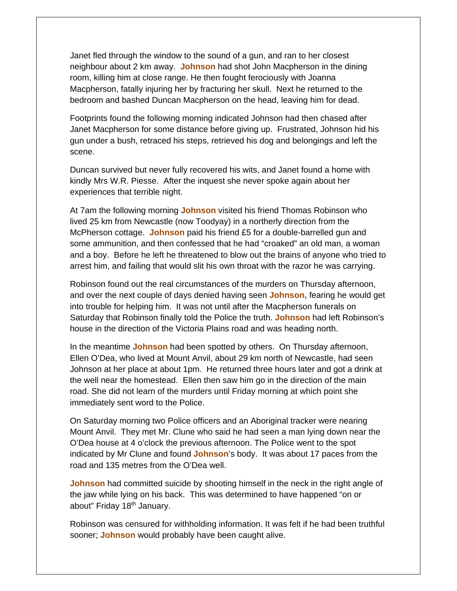Janet fled through the window to the sound of a gun, and ran to her closest neighbour about 2 km away. **Johnson** had shot John Macpherson in the dining room, killing him at close range. He then fought ferociously with Joanna Macpherson, fatally injuring her by fracturing her skull. Next he returned to the bedroom and bashed Duncan Macpherson on the head, leaving him for dead.

Footprints found the following morning indicated Johnson had then chased after Janet Macpherson for some distance before giving up. Frustrated, Johnson hid his gun under a bush, retraced his steps, retrieved his dog and belongings and left the scene.

Duncan survived but never fully recovered his wits, and Janet found a home with kindly Mrs W.R. Piesse. After the inquest she never spoke again about her experiences that terrible night.

At 7am the following morning **Johnson** visited his friend Thomas Robinson who lived 25 km from Newcastle (now Toodyay) in a northerly direction from the McPherson cottage. **Johnson** paid his friend £5 for a double-barrelled gun and some ammunition, and then confessed that he had "croaked" an old man, a woman and a boy. Before he left he threatened to blow out the brains of anyone who tried to arrest him, and failing that would slit his own throat with the razor he was carrying.

Robinson found out the real circumstances of the murders on Thursday afternoon, and over the next couple of days denied having seen **Johnson,** fearing he would get into trouble for helping him. It was not until after the Macpherson funerals on Saturday that Robinson finally told the Police the truth. **Johnson** had left Robinson's house in the direction of the Victoria Plains road and was heading north.

In the meantime **Johnson** had been spotted by others. On Thursday afternoon, Ellen O'Dea, who lived at Mount Anvil, about 29 km north of Newcastle, had seen Johnson at her place at about 1pm. He returned three hours later and got a drink at the well near the homestead. Ellen then saw him go in the direction of the main road. She did not learn of the murders until Friday morning at which point she immediately sent word to the Police.

On Saturday morning two Police officers and an Aboriginal tracker were nearing Mount Anvil. They met Mr. Clune who said he had seen a man lying down near the O'Dea house at 4 o'clock the previous afternoon. The Police went to the spot indicated by Mr Clune and found **Johnson**'s body. It was about 17 paces from the road and 135 metres from the O'Dea well.

**Johnson** had committed suicide by shooting himself in the neck in the right angle of the jaw while lying on his back. This was determined to have happened "on or about" Friday 18<sup>th</sup> January.

Robinson was censured for withholding information. It was felt if he had been truthful sooner; **Johnson** would probably have been caught alive.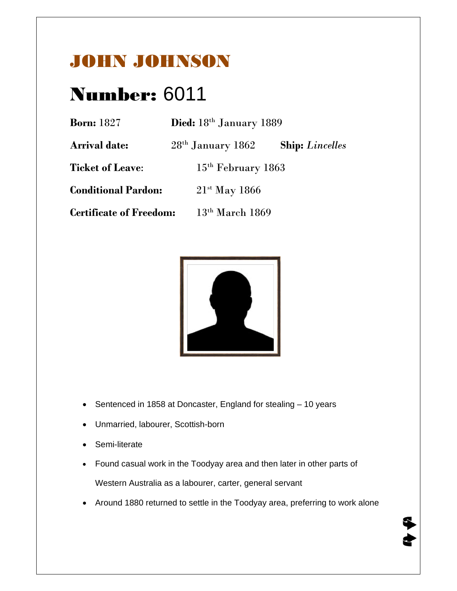## JOHN JOHNSON

## Number: 6011

| <b>Born:</b> 1827              | Died: 18th January 1889     |                        |
|--------------------------------|-----------------------------|------------------------|
| <b>Arrival date:</b>           | $28th$ January 1862         | <b>Ship:</b> Lincelles |
| <b>Ticket of Leave:</b>        | $15th$ February 1863        |                        |
| <b>Conditional Pardon:</b>     | $21$ <sup>st</sup> May 1866 |                        |
| <b>Certificate of Freedom:</b> | $13th$ March 1869           |                        |



- Sentenced in 1858 at Doncaster, England for stealing 10 years
- Unmarried, labourer, Scottish-born
- Semi-literate
- Found casual work in the Toodyay area and then later in other parts of Western Australia as a labourer, carter, general servant
- Around 1880 returned to settle in the Toodyay area, preferring to work alone